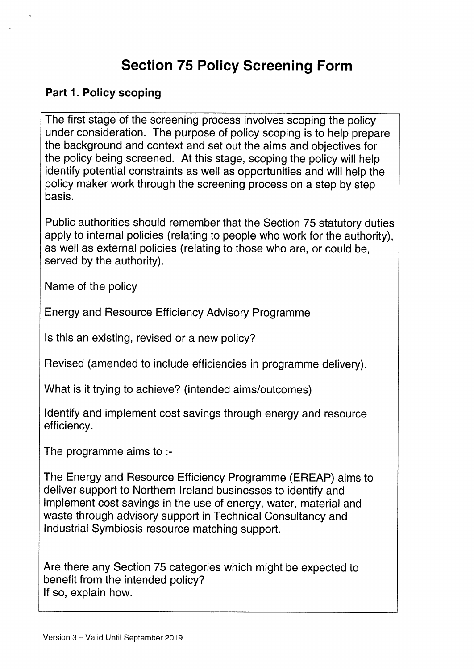# Section 75 Policy Screening Form

### Part 1. Policy scoping

The first stage of the screening process involves scoping the policy under consideration. The purpose of policy scoping is to help prepare the background and context and set out the aims and objectives for the policy being screened. At this stage, scoping the policy will help identify potential constraints as well as opportunities and will help the policy maker work through the screening process on a step by step basis.

Public authorities should remember that the Section 75 statutory duties apply to internal policies (relating to people who work for the authority), as well as external policies (relating to those who are, or could be, served by the authority).

Name of the policy

Energy and Resource Efficiency Advisory Programme

Is this an existing, revised or a new policy?

Revised (amended to include efficiencies in programme delivery).

What is it trying to achieve? (intended aims/outcomes)

Identify and implement cost savings through energy and resource efficiency.

The programme aims to :-

The Energy and Resource Efficiency Programme (EREAP) aims to deliver support to Northern Ireland businesses to identify and implement cost savings in the use of energy, water, material and waste through advisory support in Technical Consultancy and Industrial Symbiosis resource matching support.

Are there any Section 75 categories which might be expected to benefit from the intended policy? If so, explain how.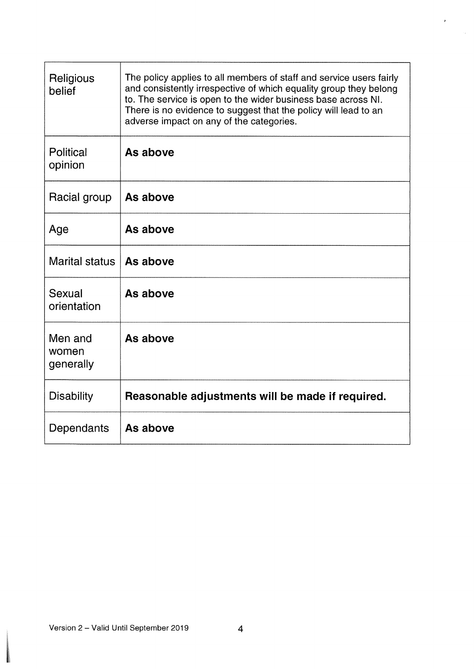| Religious<br>belief           | The policy applies to all members of staff and service users fairly<br>and consistently irrespective of which equality group they belong<br>to. The service is open to the wider business base across NI.<br>There is no evidence to suggest that the policy will lead to an<br>adverse impact on any of the categories. |
|-------------------------------|--------------------------------------------------------------------------------------------------------------------------------------------------------------------------------------------------------------------------------------------------------------------------------------------------------------------------|
| Political<br>opinion          | As above                                                                                                                                                                                                                                                                                                                 |
| Racial group                  | As above                                                                                                                                                                                                                                                                                                                 |
| Age                           | As above                                                                                                                                                                                                                                                                                                                 |
| Marital status                | As above                                                                                                                                                                                                                                                                                                                 |
| Sexual<br>orientation         | As above                                                                                                                                                                                                                                                                                                                 |
| Men and<br>women<br>generally | As above                                                                                                                                                                                                                                                                                                                 |
| <b>Disability</b>             | Reasonable adjustments will be made if required.                                                                                                                                                                                                                                                                         |
| Dependants                    | As above                                                                                                                                                                                                                                                                                                                 |

×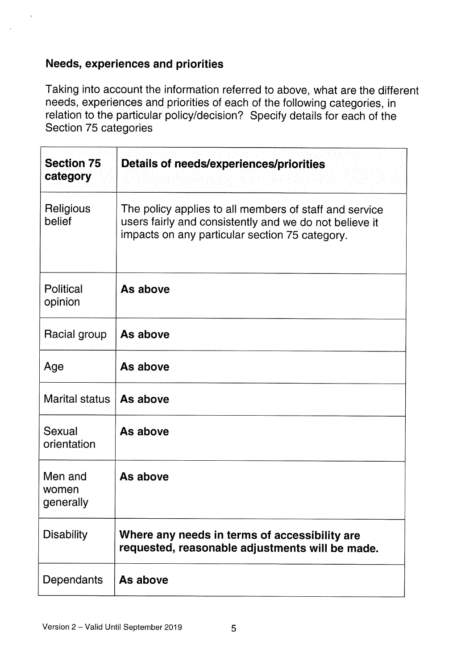### Needs, experiences and priorities

Taking into account the information referred to above, what are the different needs, experiences and priorities of each of the following categories, in relation to the particular policy/decision? Specify details for each of the Section 75 categories

| <b>Section 75</b><br>category | <b>Details of needs/experiences/priorities</b>                                                                                                                     |
|-------------------------------|--------------------------------------------------------------------------------------------------------------------------------------------------------------------|
| Religious<br>belief           | The policy applies to all members of staff and service<br>users fairly and consistently and we do not believe it<br>impacts on any particular section 75 category. |
| Political<br>opinion          | As above                                                                                                                                                           |
| Racial group                  | As above                                                                                                                                                           |
| Age                           | As above                                                                                                                                                           |
| <b>Marital status</b>         | As above                                                                                                                                                           |
| Sexual<br>orientation         | As above                                                                                                                                                           |
| Men and<br>women<br>generally | As above                                                                                                                                                           |
| <b>Disability</b>             | Where any needs in terms of accessibility are<br>requested, reasonable adjustments will be made.                                                                   |
| Dependants                    | As above                                                                                                                                                           |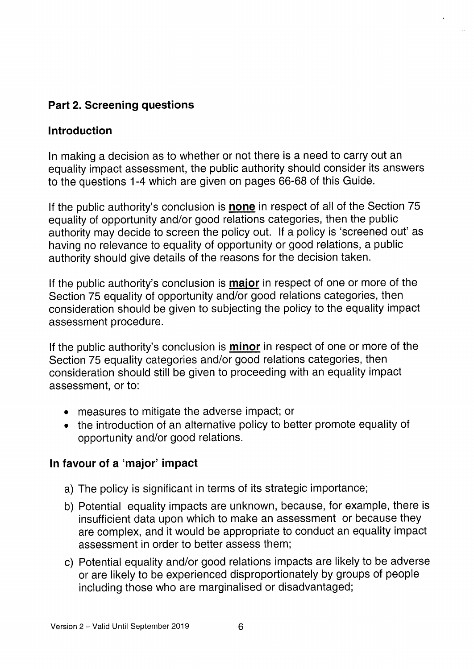## Part 2. Screening questions

### Introduction

In making <sup>a</sup> decision as to whether or not there is <sup>a</sup> need to carry out an equality impact assessment, the public authority should consider its answers to the questions 1-4 which are <sup>g</sup>iven on pages 66-68 of this Guide.

If the public authority's conclusion is **none** in respect of all of the Section 75 equality of opportunity and/or goo<sup>d</sup> relations categories, then the public authority may decide to screen the policy out. If <sup>a</sup> policy is 'screened out' as having no relevance to equality of opportunity or good relations, <sup>a</sup> public authority should <sup>g</sup>ive details of the reasons for the decision taken.

If the public authority's conclusion is **major** in respect of one or more of the Section <sup>75</sup> equality of opportunity and/or good relations categories, then consideration should be <sup>g</sup>iven to subjecting the policy to the equality impact assessment procedure.

If the public authority's conclusion is **minor** in respect of one or more of the Section <sup>75</sup> equality categories and/or goo<sup>d</sup> relations categories, then consideration should still be given to proceeding with an equality impact assessment, or to:

- measures to mitigate the adverse impact; or
- the introduction of an alternative policy to better promote equality of opportunity and/or good relations.

### In favour of <sup>a</sup> 'major' impact

- a) The policy is significant in terms of its strategic importance;
- b) Potential equality impacts are unknown, because, for example, there is insufficient data upon which to make an assessment or because they are complex, and it would be appropriate to conduct an equality impact assessment in order to better assess them;
- c) Potential equality and/or good relations impacts are likely to be adverse or are likely to be experienced disproportionately by groups of people including those who are marginalised or disadvantaged;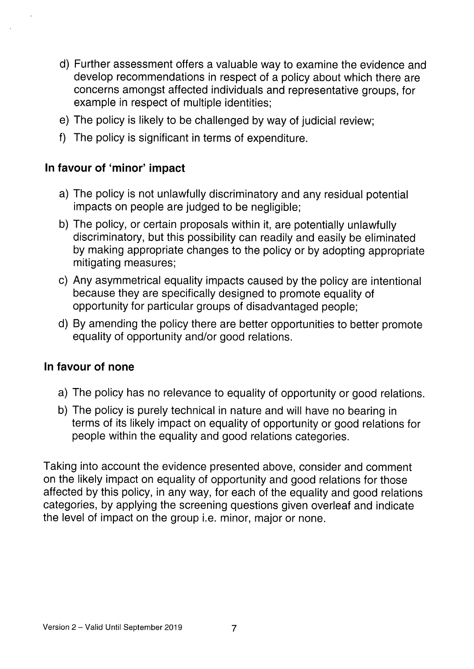- d) Further assessment offers a valuable way to examine the evidence and develop recommendations in respect of a policy about which there are concerns amongst affected individuals and representative groups, for example in respect of multiple identities;
- e) The policy is likely to be challenged by way of judicial review;
- f) The policy is significant in terms of expenditure.

### In favour of 'minor' impact

- a) The policy is not unlawfully discriminatory and any residual potential impacts on people are judged to be negligible;
- b) The policy, or certain proposals within it, are potentially unlawfully discriminatory, but this possibility can readily and easily be eliminated by making appropriate changes to the policy or by adopting appropriate mitigating measures;
- c) Any asymmetrical equality impacts caused by the policy are intentional because they are specifically designed to promote equality of opportunity for particular groups of disadvantaged people;
- d) By amending the policy there are better opportunities to better promote equality of opportunity and/or good relations.

### In favour of none

- a) The policy has no relevance to equality of opportunity or good relations.
- b) The policy is purely technical in nature and will have no bearing in terms of its likely impact on equality of opportunity or good relations for people within the equality and good relations categories.

Taking into account the evidence presented above, consider and comment on the likely impact on equality of opportunity and good relations for those affected by this policy, in any way, for each of the equality and good relations categories, by applying the screening questions given overleaf and indicate the level of impact on the group i.e. minor, major or none.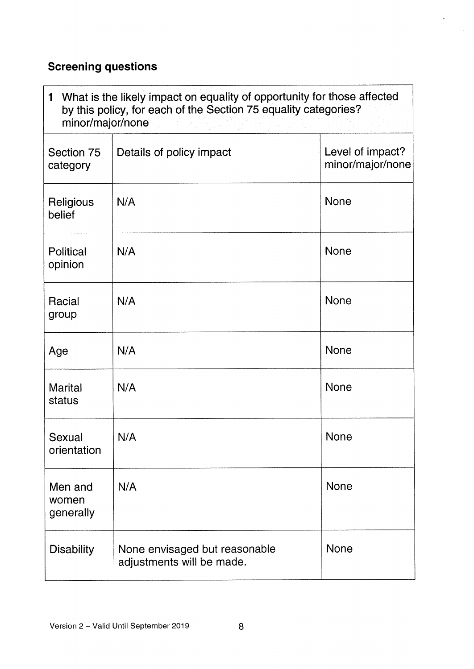## Screening questions

Ĭ

| What is the likely impact on equality of opportunity for those affected<br>$\mathbf{1}$<br>by this policy, for each of the Section 75 equality categories?<br>minor/major/none |                                                            |                                      |  |
|--------------------------------------------------------------------------------------------------------------------------------------------------------------------------------|------------------------------------------------------------|--------------------------------------|--|
| Section 75<br>category                                                                                                                                                         | Details of policy impact                                   | Level of impact?<br>minor/major/none |  |
| Religious<br>belief                                                                                                                                                            | N/A                                                        | <b>None</b>                          |  |
| Political<br>opinion                                                                                                                                                           | N/A                                                        | <b>None</b>                          |  |
| Racial<br>group                                                                                                                                                                | N/A                                                        | <b>None</b>                          |  |
| Age                                                                                                                                                                            | N/A                                                        | <b>None</b>                          |  |
| <b>Marital</b><br>status                                                                                                                                                       | N/A                                                        | <b>None</b>                          |  |
| Sexual<br>orientation                                                                                                                                                          | N/A                                                        | None                                 |  |
| Men and<br>women<br>generally                                                                                                                                                  | N/A                                                        | <b>None</b>                          |  |
| <b>Disability</b>                                                                                                                                                              | None envisaged but reasonable<br>adjustments will be made. | None                                 |  |

 $\overline{\phantom{a}}$ 

 $\hat{\mathcal{A}}$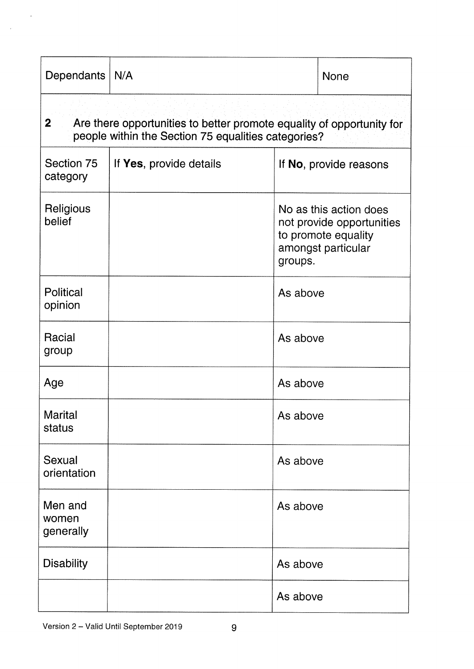| Dependants                                                                                                                                     | N/A                     |                        | <b>None</b>                                                                                      |
|------------------------------------------------------------------------------------------------------------------------------------------------|-------------------------|------------------------|--------------------------------------------------------------------------------------------------|
| 2 <sup>1</sup><br>Are there opportunities to better promote equality of opportunity for<br>people within the Section 75 equalities categories? |                         |                        |                                                                                                  |
| Section 75<br>category                                                                                                                         | If Yes, provide details | If No, provide reasons |                                                                                                  |
| Religious<br>belief                                                                                                                            |                         | groups.                | No as this action does<br>not provide opportunities<br>to promote equality<br>amongst particular |
| Political<br>opinion                                                                                                                           |                         | As above               |                                                                                                  |
| Racial<br>group                                                                                                                                |                         | As above               |                                                                                                  |
| Age                                                                                                                                            |                         | As above               |                                                                                                  |
| Marital<br>status                                                                                                                              |                         | As above               |                                                                                                  |
| Sexual<br>orientation                                                                                                                          |                         | As above               |                                                                                                  |
| Men and<br>women<br>generally                                                                                                                  |                         | As above               |                                                                                                  |
| <b>Disability</b>                                                                                                                              |                         | As above               |                                                                                                  |
|                                                                                                                                                |                         | As above               |                                                                                                  |

 $\bar{\mathbf{z}}$ 

 $\sim$   $\omega$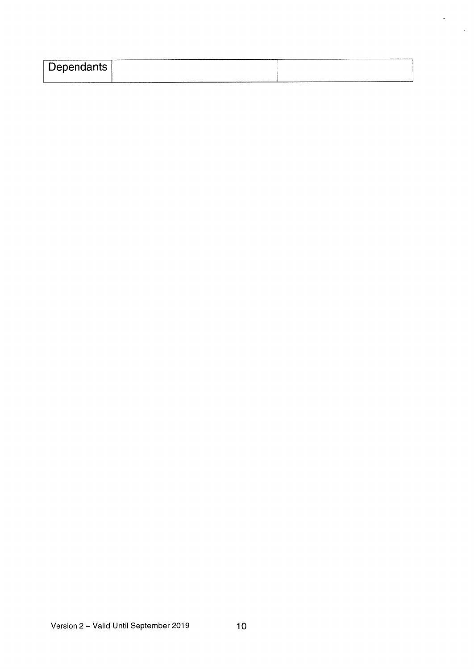| Dependants |  |
|------------|--|
| ________   |  |

 $\ddot{\phantom{1}}$ 

 $\mathcal{A}^{\pm}$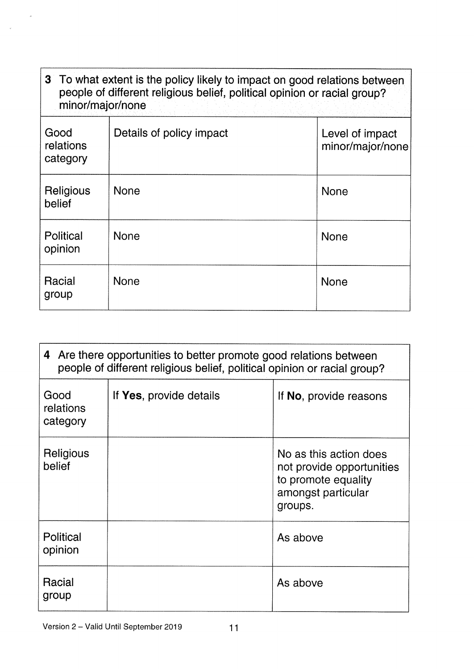| 3 To what extent is the policy likely to impact on good relations between<br>people of different religious belief, political opinion or racial group?<br>minor/major/none |                          |                                     |  |
|---------------------------------------------------------------------------------------------------------------------------------------------------------------------------|--------------------------|-------------------------------------|--|
| Good<br>relations<br>category                                                                                                                                             | Details of policy impact | Level of impact<br>minor/major/none |  |
| Religious<br>belief                                                                                                                                                       | <b>None</b>              | <b>None</b>                         |  |
| Political<br>opinion                                                                                                                                                      | <b>None</b>              | <b>None</b>                         |  |
| Racial<br>group                                                                                                                                                           | <b>None</b>              | <b>None</b>                         |  |

7

| 4 Are there opportunities to better promote good relations between<br>people of different religious belief, political opinion or racial group? |                         |                                                                                                             |  |
|------------------------------------------------------------------------------------------------------------------------------------------------|-------------------------|-------------------------------------------------------------------------------------------------------------|--|
| Good<br>relations<br>category                                                                                                                  | If Yes, provide details | If No, provide reasons                                                                                      |  |
| Religious<br>belief                                                                                                                            |                         | No as this action does<br>not provide opportunities<br>to promote equality<br>amongst particular<br>groups. |  |
| <b>Political</b><br>opinion                                                                                                                    |                         | As above                                                                                                    |  |
| Racial<br>group                                                                                                                                |                         | As above                                                                                                    |  |

 $\sim$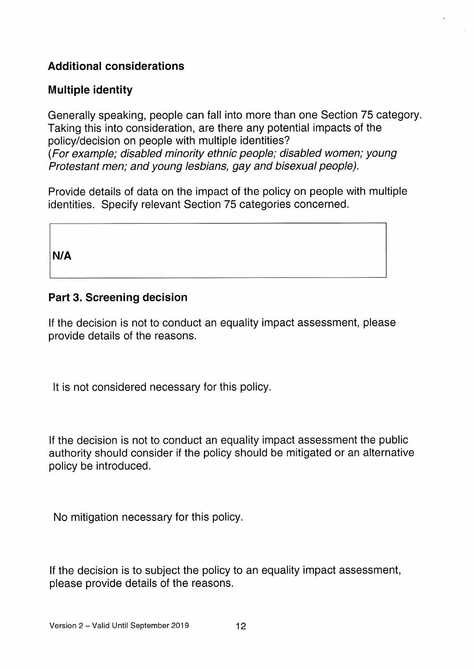## Additional considerations

### Multiple identity

Generally speaking, people can fall into more than one Section 75 category. Taking this into consideration, are there any potential impacts of the policy/decision on people with multiple identities? (For example; disabled minority ethnic people, disabled women; young Protestant men; and young lesbians, gay and bisexual people).

Provide details of data on the impact of the policy on people with multiple identities. Specify relevant Section 75 categories concerned.

N/A

#### Part 3. Screening decision

If the decision is not to conduct an equality impact assessment, please provide details of the reasons.

It is not considered necessary for this policy.

If the decision is not to conduct an equality impact assessment the public authority should consider if the policy should be mitigated or an alternative policy be introduced.

No mitigation necessary for this policy.

If the decision is to subject the policy to an equality impact assessment, please provide details of the reasons.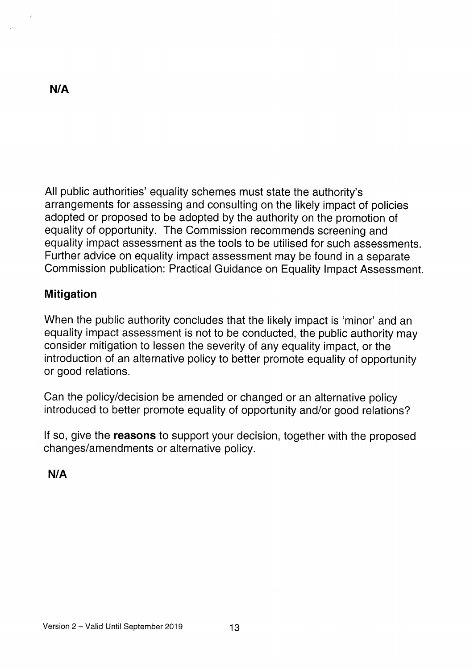All public authorities' equality schemes must state the authority's arrangements for assessing and consulting on the likely impact of policies adopted or proposed to be adopted by the authority on the promotion of equality of opportunity. The Commission recommends screening and equality impact assessment as the tools to be utilised for such assessments. Further advice on equality impact assessment may be found in a separate Commission publication: Practical Guidance on Equality Impact Assessment.

### **Mitigation**

When the public authority concludes that the likely impact is 'minor' and an equality impact assessment is not to be conducted, the public authority may consider mitigation to lessen the severity of any equality impact, or the introduction of an alternative policy to better promote equality of opportunity or good relations.

Can the policy/decision be amended or changed or an alternative policy introduced to better promote equality of opportunity and/or good relations?

If so, give the **reasons** to support your decision, together with the proposed changes/amendments or alternative policy.

N/A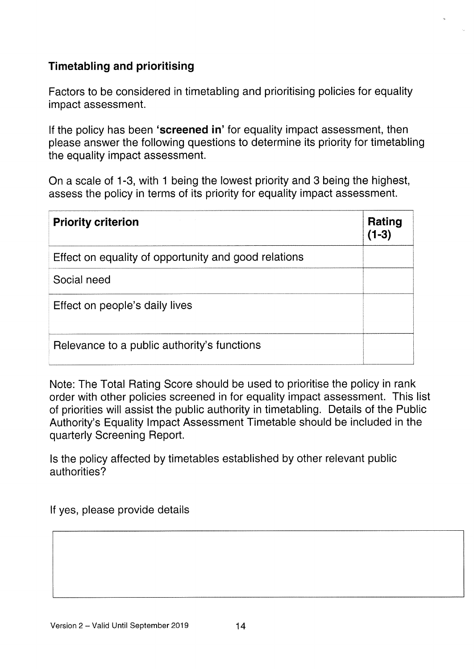## Timetabling and prioritising

Factors to be considered in timetabling and prioritising policies for equality impact assessment.

If the policy has been 'screened in' for equality impact assessment, then please answer the following questions to determine its priority for timetabling the equality impact assessment.

On a scale of 1-3, with <sup>1</sup> being the lowest priority and 3 being the highest, assess the policy in terms of its priority for equality impact assessment.

| <b>Priority criterion</b>                            | Rating<br>$(1-3)$ |
|------------------------------------------------------|-------------------|
| Effect on equality of opportunity and good relations |                   |
| Social need                                          |                   |
| Effect on people's daily lives                       |                   |
| Relevance to a public authority's functions          |                   |

Note: The Total Rating Score should be used to prioritise the policy in rank order with other policies screened in for equality impact assessment. This list of priorities will assist the public authority in timetabling. Details of the Public Authority's Equality Impact Assessment Timetable should be included in the quarterly Screening Report.

Is the policy affected by timetables established by other relevant public authorities?

If yes, please provide details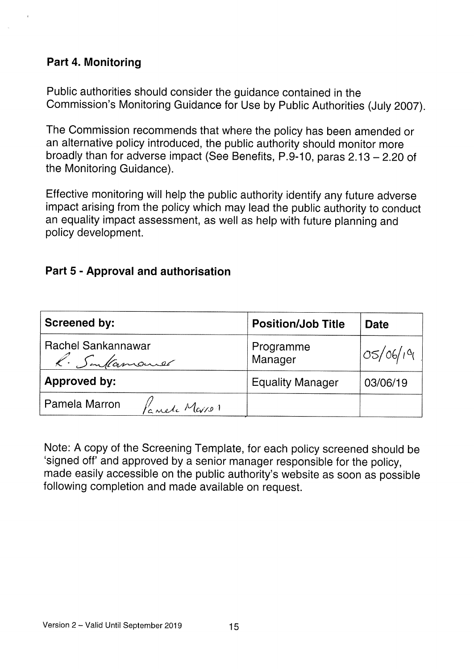### Part 4. Monitoring

Public authorities should consider the guidance contained in the Commission's Monitoring Guidance for Use by Public Authorities (July 2007).

The Commission recommends that where the policy has been amended or an alternative policy introduced, the public authority should monitor more broadly than for adverse impact (See Benefits, P.9-10, paras 2.13 —2.20 of the Monitoring Guidance).

Effective monitoring will help the public authority identify any future adverse impact arising from the policy which may lead the public authority to conduct an equality impact assessment, as well as help with future <sup>p</sup>lanning and policy development.

### Part 5 - Approval and authorisation

| <b>Screened by:</b>                | <b>Position/Job Title</b> | <b>Date</b> |
|------------------------------------|---------------------------|-------------|
| Rachel Sankannawar<br>R. Sentamand | Programme<br>Manager      | OS/06/19    |
| Approved by:                       | <b>Equality Manager</b>   | 03/06/19    |
| Pamela Marron<br>Panele Merron     |                           |             |

Note: <sup>A</sup> copy of the Screening Template, for each policy screened should be 'signed off' and approved by <sup>a</sup> senior manager responsible for the policy, made easily accessible on the public authority's website as soon as possible following completion and made available on request.